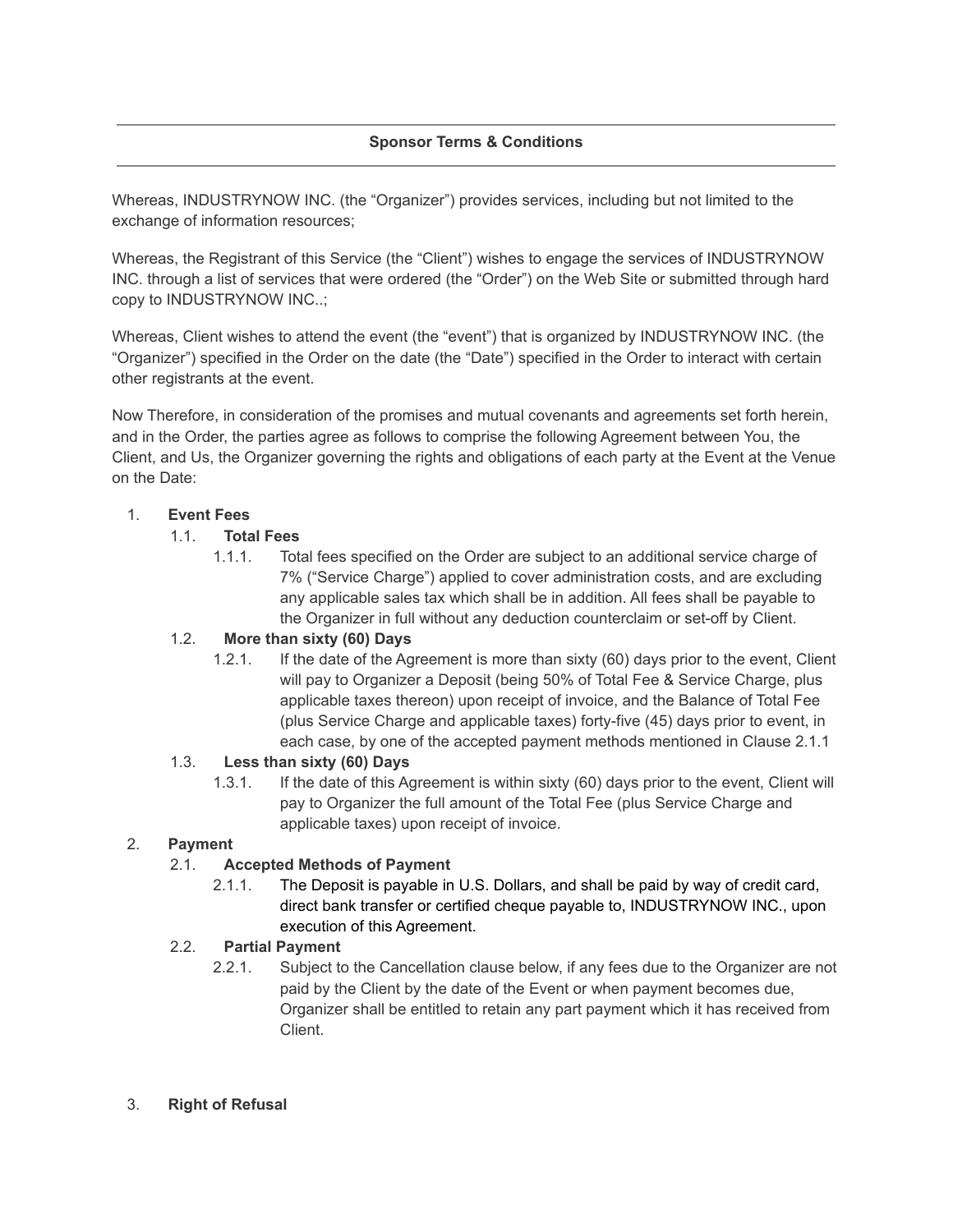## **Sponsor Terms & Conditions**

Whereas, INDUSTRYNOW INC. (the "Organizer") provides services, including but not limited to the exchange of information resources;

Whereas, the Registrant of this Service (the "Client") wishes to engage the services of INDUSTRYNOW INC. through a list of services that were ordered (the "Order") on the Web Site or submitted through hard copy to INDUSTRYNOW INC..;

Whereas, Client wishes to attend the event (the "event") that is organized by INDUSTRYNOW INC. (the "Organizer") specified in the Order on the date (the "Date") specified in the Order to interact with certain other registrants at the event.

Now Therefore, in consideration of the promises and mutual covenants and agreements set forth herein, and in the Order, the parties agree as follows to comprise the following Agreement between You, the Client, and Us, the Organizer governing the rights and obligations of each party at the Event at the Venue on the Date:

#### 1. **Event Fees**

#### 1.1. **Total Fees**

1.1.1. Total fees specified on the Order are subject to an additional service charge of 7% ("Service Charge") applied to cover administration costs, and are excluding any applicable sales tax which shall be in addition. All fees shall be payable to the Organizer in full without any deduction counterclaim or set-off by Client.

## 1.2. **More than sixty (60) Days**

1.2.1. If the date of the Agreement is more than sixty (60) days prior to the event, Client will pay to Organizer a Deposit (being 50% of Total Fee & Service Charge, plus applicable taxes thereon) upon receipt of invoice, and the Balance of Total Fee (plus Service Charge and applicable taxes) forty-five (45) days prior to event, in each case, by one of the accepted payment methods mentioned in Clause 2.1.1

#### 1.3. **Less than sixty (60) Days**

1.3.1. If the date of this Agreement is within sixty (60) days prior to the event, Client will pay to Organizer the full amount of the Total Fee (plus Service Charge and applicable taxes) upon receipt of invoice.

#### 2. **Payment**

## 2.1. **Accepted Methods of Payment**

2.1.1. The Deposit is payable in U.S. Dollars, and shall be paid by way of credit card, direct bank transfer or certified cheque payable to, INDUSTRYNOW INC., upon execution of this Agreement.

#### 2.2. **Partial Payment**

2.2.1. Subject to the Cancellation clause below, if any fees due to the Organizer are not paid by the Client by the date of the Event or when payment becomes due, Organizer shall be entitled to retain any part payment which it has received from Client.

#### 3. **Right of Refusal**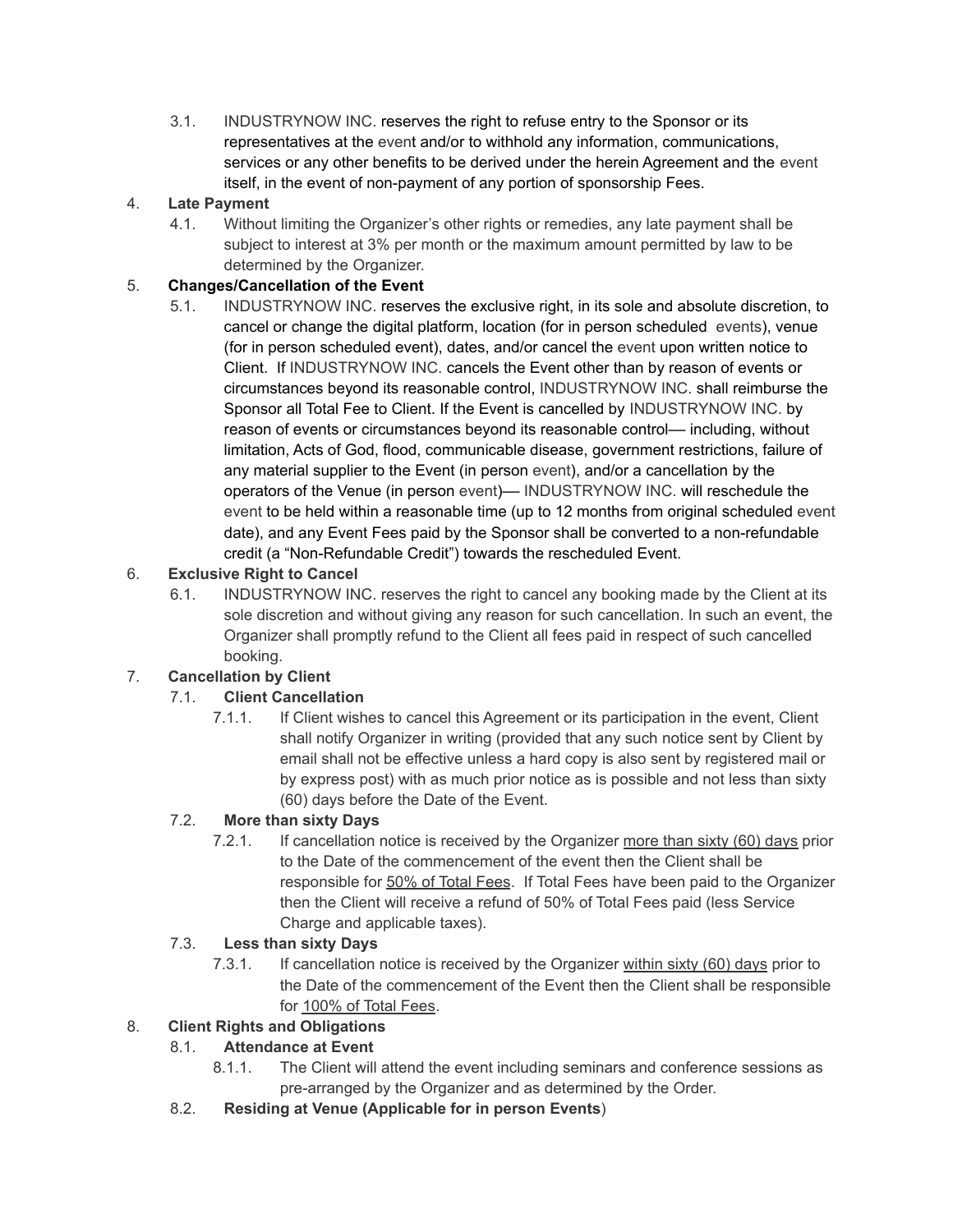3.1. INDUSTRYNOW INC. reserves the right to refuse entry to the Sponsor or its representatives at the event and/or to withhold any information, communications, services or any other benefits to be derived under the herein Agreement and the event itself, in the event of non-payment of any portion of sponsorship Fees.

# 4. **Late Payment**

4.1. Without limiting the Organizer's other rights or remedies, any late payment shall be subject to interest at 3% per month or the maximum amount permitted by law to be determined by the Organizer.

# 5. **Changes/Cancellation of the Event**

5.1. INDUSTRYNOW INC. reserves the exclusive right, in its sole and absolute discretion, to cancel or change the digital platform, location (for in person scheduled events), venue (for in person scheduled event), dates, and/or cancel the event upon written notice to Client. If INDUSTRYNOW INC. cancels the Event other than by reason of events or circumstances beyond its reasonable control, INDUSTRYNOW INC. shall reimburse the Sponsor all Total Fee to Client. If the Event is cancelled by INDUSTRYNOW INC. by reason of events or circumstances beyond its reasonable control–– including, without limitation, Acts of God, flood, communicable disease, government restrictions, failure of any material supplier to the Event (in person event), and/or a cancellation by the operators of the Venue (in person event)–– INDUSTRYNOW INC. will reschedule the event to be held within a reasonable time (up to 12 months from original scheduled event date), and any Event Fees paid by the Sponsor shall be converted to a non-refundable credit (a "Non-Refundable Credit") towards the rescheduled Event.

# 6. **Exclusive Right to Cancel**

6.1. INDUSTRYNOW INC. reserves the right to cancel any booking made by the Client at its sole discretion and without giving any reason for such cancellation. In such an event, the Organizer shall promptly refund to the Client all fees paid in respect of such cancelled booking.

# 7. **Cancellation by Client**

# 7.1. **Client Cancellation**

7.1.1. If Client wishes to cancel this Agreement or its participation in the event, Client shall notify Organizer in writing (provided that any such notice sent by Client by email shall not be effective unless a hard copy is also sent by registered mail or by express post) with as much prior notice as is possible and not less than sixty (60) days before the Date of the Event.

# 7.2. **More than sixty Days**

7.2.1. If cancellation notice is received by the Organizer more than sixty (60) days prior to the Date of the commencement of the event then the Client shall be responsible for 50% of Total Fees. If Total Fees have been paid to the Organizer then the Client will receive a refund of 50% of Total Fees paid (less Service Charge and applicable taxes).

# 7.3. **Less than sixty Days**

7.3.1. If cancellation notice is received by the Organizer within sixty (60) days prior to the Date of the commencement of the Event then the Client shall be responsible for 100% of Total Fees.

# 8. **Client Rights and Obligations**

# 8.1. **Attendance at Event**

- 8.1.1. The Client will attend the event including seminars and conference sessions as pre-arranged by the Organizer and as determined by the Order.
- 8.2. **Residing at Venue (Applicable for in person Events**)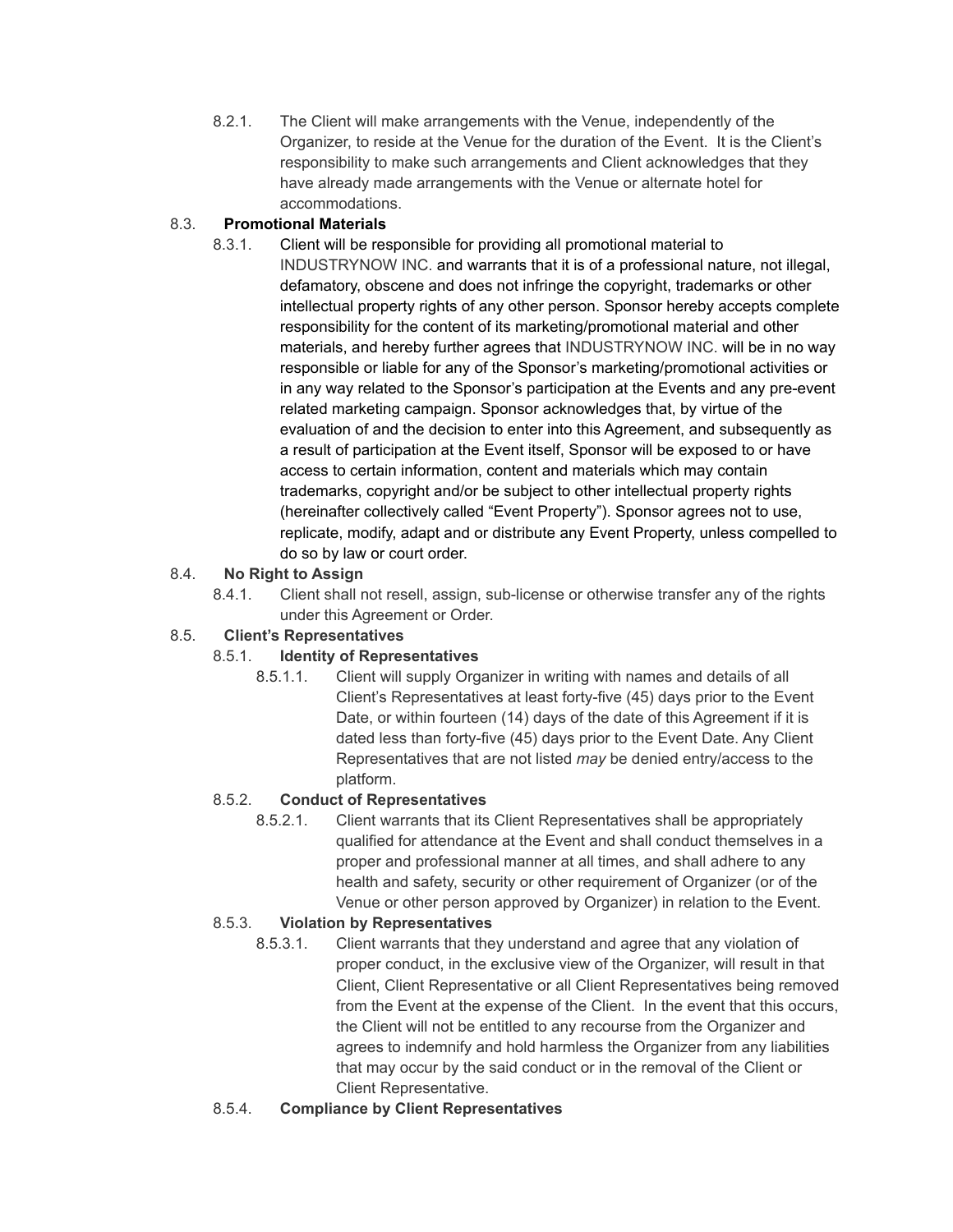8.2.1. The Client will make arrangements with the Venue, independently of the Organizer, to reside at the Venue for the duration of the Event. It is the Client's responsibility to make such arrangements and Client acknowledges that they have already made arrangements with the Venue or alternate hotel for accommodations.

## 8.3. **Promotional Materials**

8.3.1. Client will be responsible for providing all promotional material to INDUSTRYNOW INC. and warrants that it is of a professional nature, not illegal, defamatory, obscene and does not infringe the copyright, trademarks or other intellectual property rights of any other person. Sponsor hereby accepts complete responsibility for the content of its marketing/promotional material and other materials, and hereby further agrees that INDUSTRYNOW INC. will be in no way responsible or liable for any of the Sponsor's marketing/promotional activities or in any way related to the Sponsor's participation at the Events and any pre-event related marketing campaign. Sponsor acknowledges that, by virtue of the evaluation of and the decision to enter into this Agreement, and subsequently as a result of participation at the Event itself, Sponsor will be exposed to or have access to certain information, content and materials which may contain trademarks, copyright and/or be subject to other intellectual property rights (hereinafter collectively called "Event Property"). Sponsor agrees not to use, replicate, modify, adapt and or distribute any Event Property, unless compelled to do so by law or court order.

## 8.4. **No Right to Assign**

8.4.1. Client shall not resell, assign, sub-license or otherwise transfer any of the rights under this Agreement or Order.

# 8.5. **Client's Representatives**

## 8.5.1. **Identity of Representatives**

8.5.1.1. Client will supply Organizer in writing with names and details of all Client's Representatives at least forty-five (45) days prior to the Event Date, or within fourteen (14) days of the date of this Agreement if it is dated less than forty-five (45) days prior to the Event Date. Any Client Representatives that are not listed *may* be denied entry/access to the platform.

## 8.5.2. **Conduct of Representatives**

8.5.2.1. Client warrants that its Client Representatives shall be appropriately qualified for attendance at the Event and shall conduct themselves in a proper and professional manner at all times, and shall adhere to any health and safety, security or other requirement of Organizer (or of the Venue or other person approved by Organizer) in relation to the Event.

## 8.5.3. **Violation by Representatives**

- 8.5.3.1. Client warrants that they understand and agree that any violation of proper conduct, in the exclusive view of the Organizer, will result in that Client, Client Representative or all Client Representatives being removed from the Event at the expense of the Client. In the event that this occurs, the Client will not be entitled to any recourse from the Organizer and agrees to indemnify and hold harmless the Organizer from any liabilities that may occur by the said conduct or in the removal of the Client or Client Representative.
- 8.5.4. **Compliance by Client Representatives**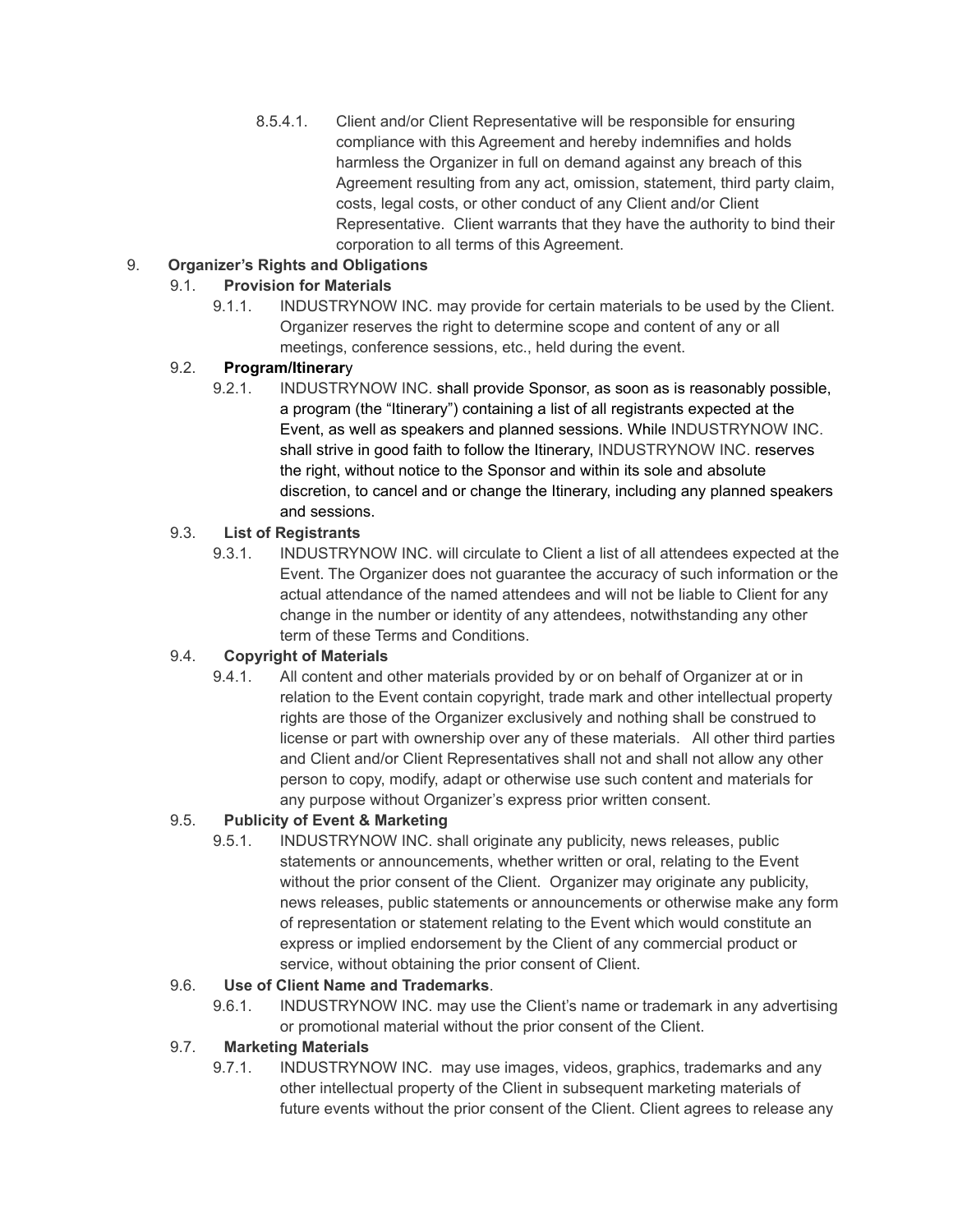8.5.4.1. Client and/or Client Representative will be responsible for ensuring compliance with this Agreement and hereby indemnifies and holds harmless the Organizer in full on demand against any breach of this Agreement resulting from any act, omission, statement, third party claim, costs, legal costs, or other conduct of any Client and/or Client Representative. Client warrants that they have the authority to bind their corporation to all terms of this Agreement.

# 9. **Organizer's Rights and Obligations**

# 9.1. **Provision for Materials**

9.1.1. INDUSTRYNOW INC. may provide for certain materials to be used by the Client. Organizer reserves the right to determine scope and content of any or all meetings, conference sessions, etc., held during the event.

## 9.2. **Program/Itinerar**y

9.2.1. INDUSTRYNOW INC. shall provide Sponsor, as soon as is reasonably possible, a program (the "Itinerary") containing a list of all registrants expected at the Event, as well as speakers and planned sessions. While INDUSTRYNOW INC. shall strive in good faith to follow the Itinerary, INDUSTRYNOW INC. reserves the right, without notice to the Sponsor and within its sole and absolute discretion, to cancel and or change the Itinerary, including any planned speakers and sessions.

## 9.3. **List of Registrants**

9.3.1. INDUSTRYNOW INC. will circulate to Client a list of all attendees expected at the Event. The Organizer does not guarantee the accuracy of such information or the actual attendance of the named attendees and will not be liable to Client for any change in the number or identity of any attendees, notwithstanding any other term of these Terms and Conditions.

## 9.4. **Copyright of Materials**

9.4.1. All content and other materials provided by or on behalf of Organizer at or in relation to the Event contain copyright, trade mark and other intellectual property rights are those of the Organizer exclusively and nothing shall be construed to license or part with ownership over any of these materials. All other third parties and Client and/or Client Representatives shall not and shall not allow any other person to copy, modify, adapt or otherwise use such content and materials for any purpose without Organizer's express prior written consent.

## 9.5. **Publicity of Event & Marketing**

9.5.1. INDUSTRYNOW INC. shall originate any publicity, news releases, public statements or announcements, whether written or oral, relating to the Event without the prior consent of the Client. Organizer may originate any publicity, news releases, public statements or announcements or otherwise make any form of representation or statement relating to the Event which would constitute an express or implied endorsement by the Client of any commercial product or service, without obtaining the prior consent of Client.

## 9.6. **Use of Client Name and Trademarks**.

9.6.1. INDUSTRYNOW INC. may use the Client's name or trademark in any advertising or promotional material without the prior consent of the Client.

## 9.7. **Marketing Materials**

9.7.1. INDUSTRYNOW INC. may use images, videos, graphics, trademarks and any other intellectual property of the Client in subsequent marketing materials of future events without the prior consent of the Client. Client agrees to release any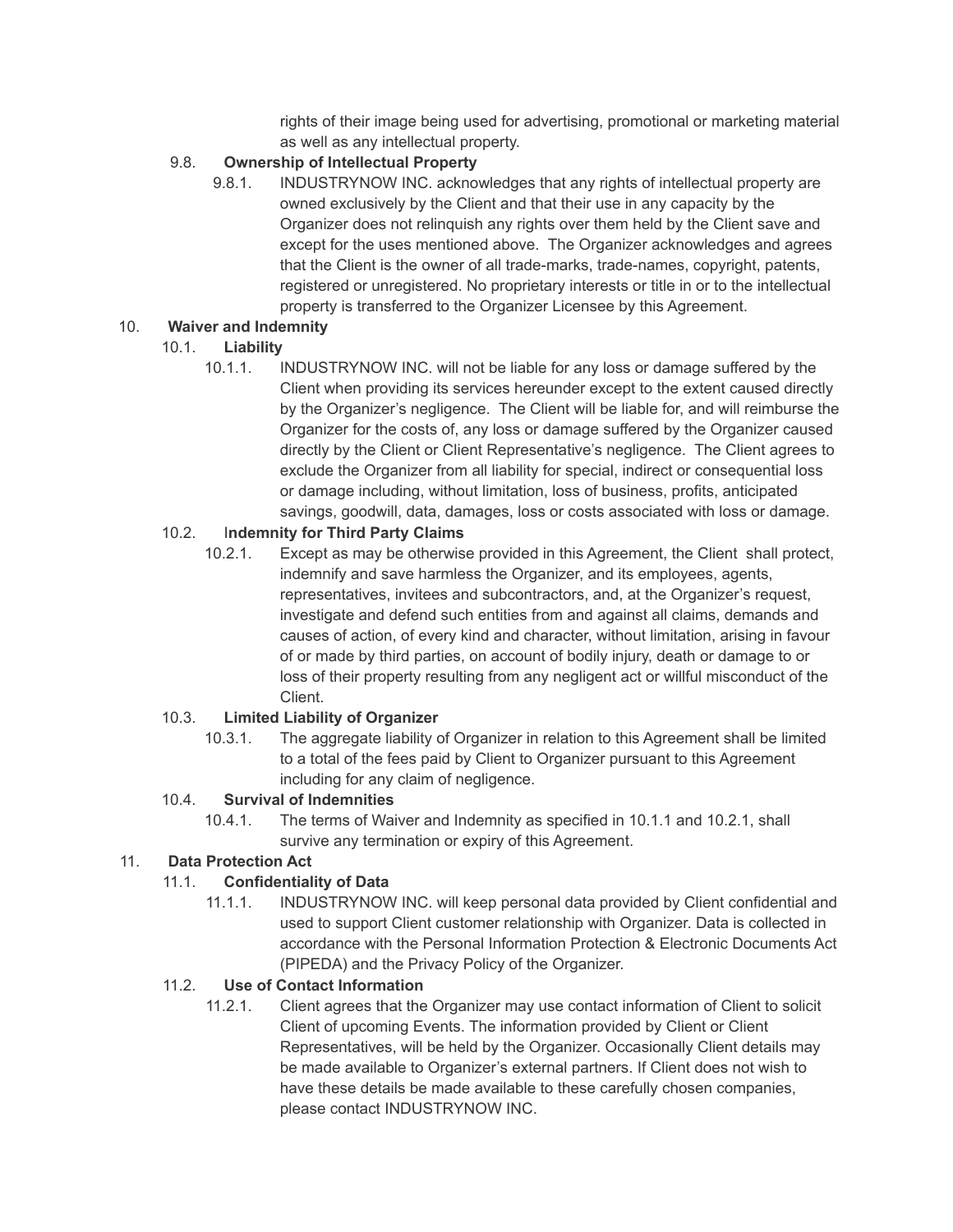rights of their image being used for advertising, promotional or marketing material as well as any intellectual property.

## 9.8. **Ownership of Intellectual Property**

9.8.1. INDUSTRYNOW INC. acknowledges that any rights of intellectual property are owned exclusively by the Client and that their use in any capacity by the Organizer does not relinquish any rights over them held by the Client save and except for the uses mentioned above. The Organizer acknowledges and agrees that the Client is the owner of all trade-marks, trade-names, copyright, patents, registered or unregistered. No proprietary interests or title in or to the intellectual property is transferred to the Organizer Licensee by this Agreement.

#### 10. **Waiver and Indemnity**

## 10.1. **Liability**

10.1.1. INDUSTRYNOW INC. will not be liable for any loss or damage suffered by the Client when providing its services hereunder except to the extent caused directly by the Organizer's negligence. The Client will be liable for, and will reimburse the Organizer for the costs of, any loss or damage suffered by the Organizer caused directly by the Client or Client Representative's negligence. The Client agrees to exclude the Organizer from all liability for special, indirect or consequential loss or damage including, without limitation, loss of business, profits, anticipated savings, goodwill, data, damages, loss or costs associated with loss or damage.

## 10.2. I**ndemnity for Third Party Claims**

10.2.1. Except as may be otherwise provided in this Agreement, the Client shall protect, indemnify and save harmless the Organizer, and its employees, agents, representatives, invitees and subcontractors, and, at the Organizer's request, investigate and defend such entities from and against all claims, demands and causes of action, of every kind and character, without limitation, arising in favour of or made by third parties, on account of bodily injury, death or damage to or loss of their property resulting from any negligent act or willful misconduct of the Client.

## 10.3. **Limited Liability of Organizer**

10.3.1. The aggregate liability of Organizer in relation to this Agreement shall be limited to a total of the fees paid by Client to Organizer pursuant to this Agreement including for any claim of negligence.

## 10.4. **Survival of Indemnities**

10.4.1. The terms of Waiver and Indemnity as specified in 10.1.1 and 10.2.1, shall survive any termination or expiry of this Agreement.

## 11. **Data Protection Act**

## 11.1. **Confidentiality of Data**

11.1.1. INDUSTRYNOW INC. will keep personal data provided by Client confidential and used to support Client customer relationship with Organizer. Data is collected in accordance with the Personal Information Protection & Electronic Documents Act (PIPEDA) and the Privacy Policy of the Organizer.

## 11.2. **Use of Contact Information**

11.2.1. Client agrees that the Organizer may use contact information of Client to solicit Client of upcoming Events. The information provided by Client or Client Representatives, will be held by the Organizer. Occasionally Client details may be made available to Organizer's external partners. If Client does not wish to have these details be made available to these carefully chosen companies, please contact INDUSTRYNOW INC.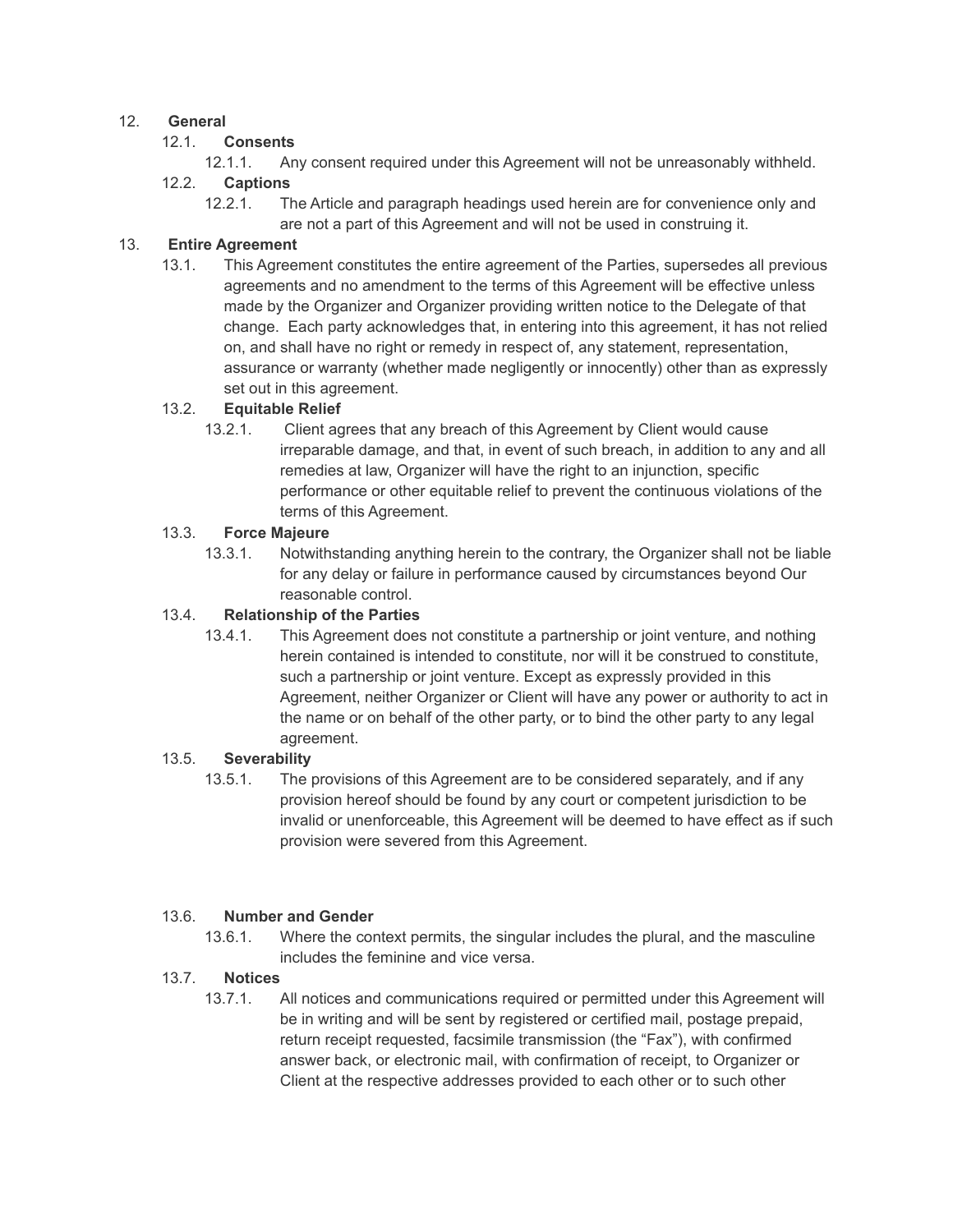#### 12. **General**

#### 12.1. **Consents**

12.1.1. Any consent required under this Agreement will not be unreasonably withheld.

## 12.2. **Captions**

12.2.1. The Article and paragraph headings used herein are for convenience only and are not a part of this Agreement and will not be used in construing it.

## 13. **Entire Agreement**

13.1. This Agreement constitutes the entire agreement of the Parties, supersedes all previous agreements and no amendment to the terms of this Agreement will be effective unless made by the Organizer and Organizer providing written notice to the Delegate of that change. Each party acknowledges that, in entering into this agreement, it has not relied on, and shall have no right or remedy in respect of, any statement, representation, assurance or warranty (whether made negligently or innocently) other than as expressly set out in this agreement.

#### 13.2. **Equitable Relief**

13.2.1. Client agrees that any breach of this Agreement by Client would cause irreparable damage, and that, in event of such breach, in addition to any and all remedies at law, Organizer will have the right to an injunction, specific performance or other equitable relief to prevent the continuous violations of the terms of this Agreement.

#### 13.3. **Force Majeure**

13.3.1. Notwithstanding anything herein to the contrary, the Organizer shall not be liable for any delay or failure in performance caused by circumstances beyond Our reasonable control.

#### 13.4. **Relationship of the Parties**

13.4.1. This Agreement does not constitute a partnership or joint venture, and nothing herein contained is intended to constitute, nor will it be construed to constitute, such a partnership or joint venture. Except as expressly provided in this Agreement, neither Organizer or Client will have any power or authority to act in the name or on behalf of the other party, or to bind the other party to any legal agreement.

#### 13.5. **Severability**

13.5.1. The provisions of this Agreement are to be considered separately, and if any provision hereof should be found by any court or competent jurisdiction to be invalid or unenforceable, this Agreement will be deemed to have effect as if such provision were severed from this Agreement.

#### 13.6. **Number and Gender**

13.6.1. Where the context permits, the singular includes the plural, and the masculine includes the feminine and vice versa.

#### 13.7. **Notices**

13.7.1. All notices and communications required or permitted under this Agreement will be in writing and will be sent by registered or certified mail, postage prepaid, return receipt requested, facsimile transmission (the "Fax"), with confirmed answer back, or electronic mail, with confirmation of receipt, to Organizer or Client at the respective addresses provided to each other or to such other